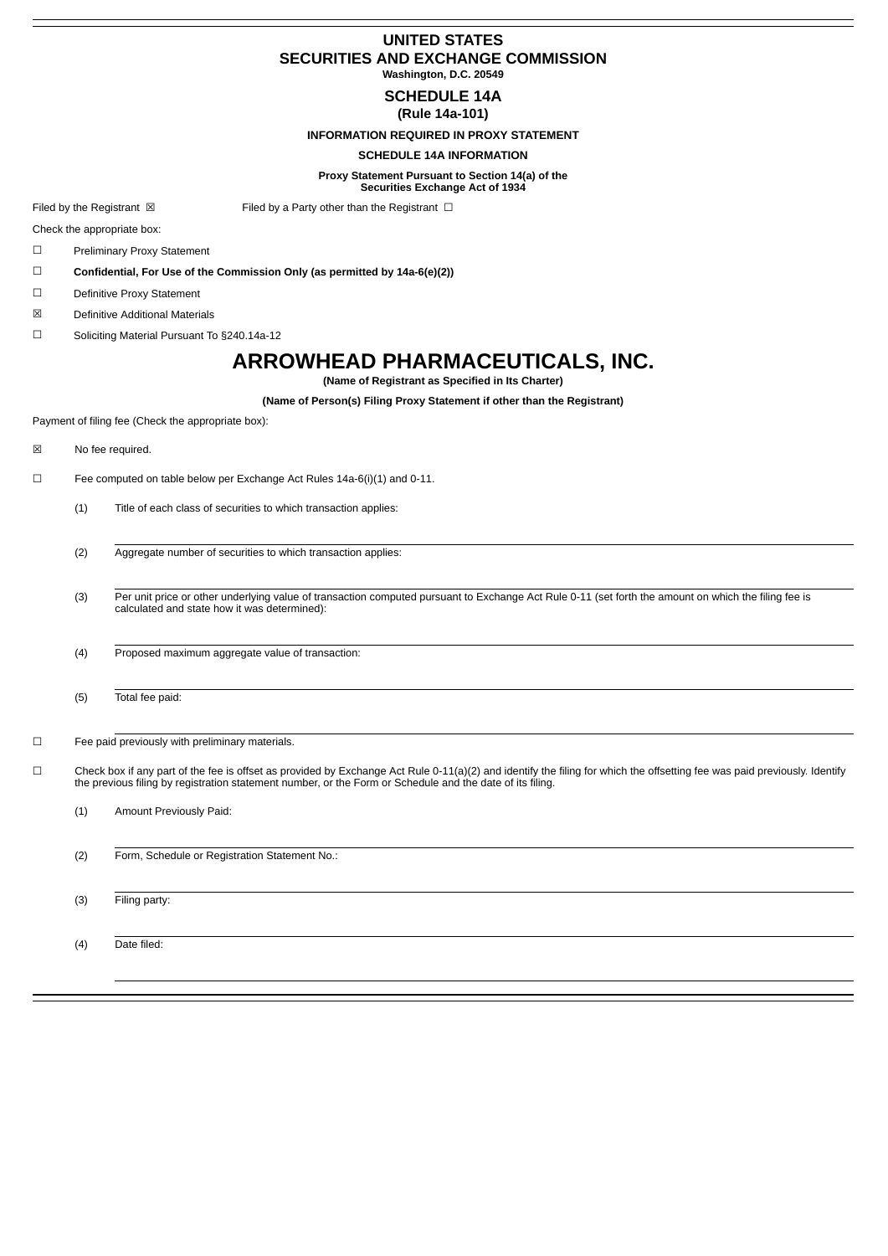## **UNITED STATES SECURITIES AND EXCHANGE COMMISSION Washington, D.C. 20549**

**SCHEDULE 14A**

**(Rule 14a-101)**

**INFORMATION REQUIRED IN PROXY STATEMENT**

### **SCHEDULE 14A INFORMATION**

**Proxy Statement Pursuant to Section 14(a) of the Securities Exchange Act of 1934**

Filed by the Registrant  $\boxtimes$  Filed by a Party other than the Registrant  $\Box$ 

Check the appropriate box:

☐ Preliminary Proxy Statement

☐ **Confidential, For Use of the Commission Only (as permitted by 14a-6(e)(2))**

☐ Definitive Proxy Statement

☒ Definitive Additional Materials

☐ Soliciting Material Pursuant To §240.14a-12

# **ARROWHEAD PHARMACEUTICALS, INC.**

**(Name of Registrant as Specified in Its Charter)**

**(Name of Person(s) Filing Proxy Statement if other than the Registrant)**

Payment of filing fee (Check the appropriate box):

☒ No fee required.

☐ Fee computed on table below per Exchange Act Rules 14a-6(i)(1) and 0-11.

(1) Title of each class of securities to which transaction applies:

(2) Aggregate number of securities to which transaction applies:

(3) Per unit price or other underlying value of transaction computed pursuant to Exchange Act Rule 0-11 (set forth the amount on which the filing fee is calculated and state how it was determined):

(4) Proposed maximum aggregate value of transaction:

(5) Total fee paid:

☐ Fee paid previously with preliminary materials.

☐ Check box if any part of the fee is offset as provided by Exchange Act Rule 0-11(a)(2) and identify the filing for which the offsetting fee was paid previously. Identify the previous filing by registration statement number, or the Form or Schedule and the date of its filing.

(1) Amount Previously Paid:

(2) Form, Schedule or Registration Statement No.:

(3) Filing party:

(4) Date filed: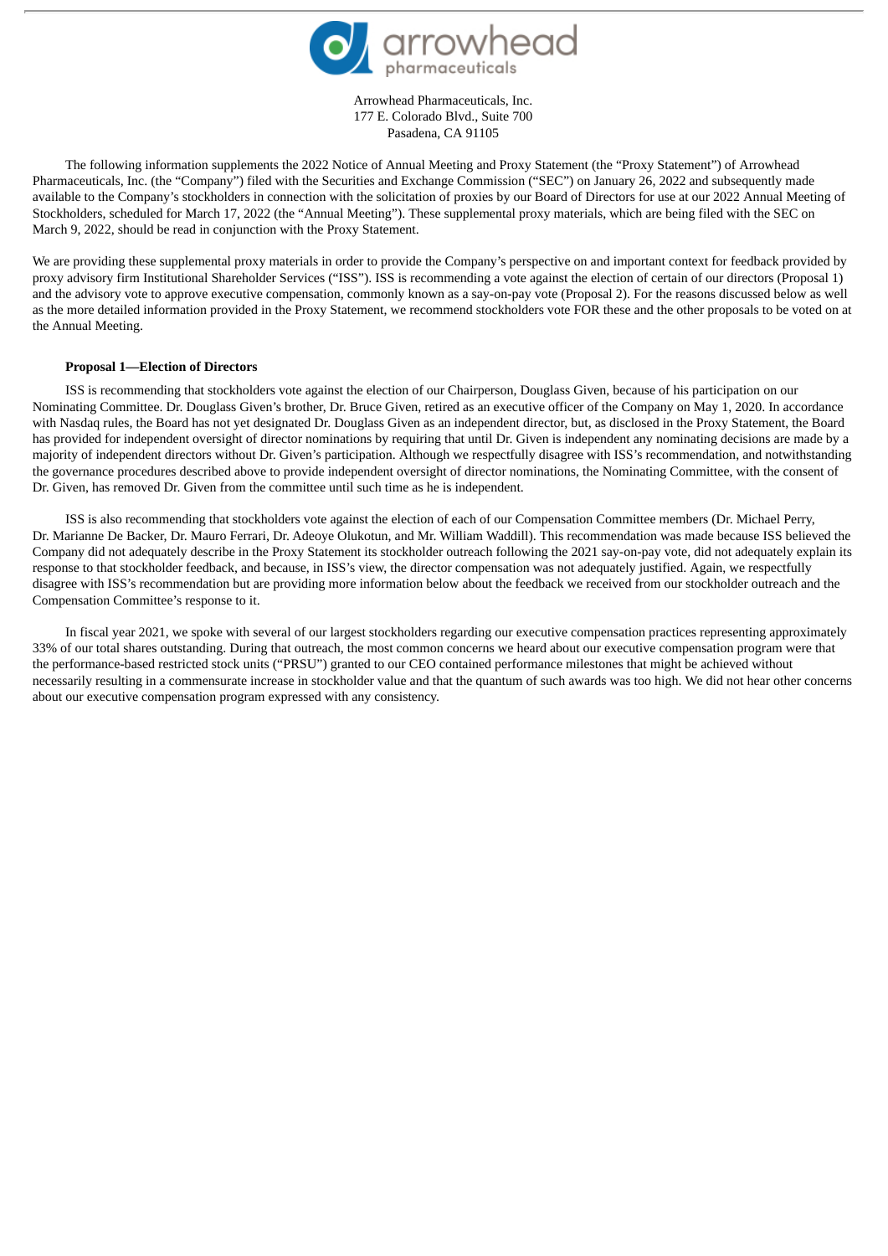

Arrowhead Pharmaceuticals, Inc. 177 E. Colorado Blvd., Suite 700 Pasadena, CA 91105

The following information supplements the 2022 Notice of Annual Meeting and Proxy Statement (the "Proxy Statement") of Arrowhead Pharmaceuticals, Inc. (the "Company") filed with the Securities and Exchange Commission ("SEC") on January 26, 2022 and subsequently made available to the Company's stockholders in connection with the solicitation of proxies by our Board of Directors for use at our 2022 Annual Meeting of Stockholders, scheduled for March 17, 2022 (the "Annual Meeting"). These supplemental proxy materials, which are being filed with the SEC on March 9, 2022, should be read in conjunction with the Proxy Statement.

We are providing these supplemental proxy materials in order to provide the Company's perspective on and important context for feedback provided by proxy advisory firm Institutional Shareholder Services ("ISS"). ISS is recommending a vote against the election of certain of our directors (Proposal 1) and the advisory vote to approve executive compensation, commonly known as a say-on-pay vote (Proposal 2). For the reasons discussed below as well as the more detailed information provided in the Proxy Statement, we recommend stockholders vote FOR these and the other proposals to be voted on at the Annual Meeting.

### **Proposal 1—Election of Directors**

ISS is recommending that stockholders vote against the election of our Chairperson, Douglass Given, because of his participation on our Nominating Committee. Dr. Douglass Given's brother, Dr. Bruce Given, retired as an executive officer of the Company on May 1, 2020. In accordance with Nasdaq rules, the Board has not yet designated Dr. Douglass Given as an independent director, but, as disclosed in the Proxy Statement, the Board has provided for independent oversight of director nominations by requiring that until Dr. Given is independent any nominating decisions are made by a majority of independent directors without Dr. Given's participation. Although we respectfully disagree with ISS's recommendation, and notwithstanding the governance procedures described above to provide independent oversight of director nominations, the Nominating Committee, with the consent of Dr. Given, has removed Dr. Given from the committee until such time as he is independent.

ISS is also recommending that stockholders vote against the election of each of our Compensation Committee members (Dr. Michael Perry, Dr. Marianne De Backer, Dr. Mauro Ferrari, Dr. Adeoye Olukotun, and Mr. William Waddill). This recommendation was made because ISS believed the Company did not adequately describe in the Proxy Statement its stockholder outreach following the 2021 say-on-pay vote, did not adequately explain its response to that stockholder feedback, and because, in ISS's view, the director compensation was not adequately justified. Again, we respectfully disagree with ISS's recommendation but are providing more information below about the feedback we received from our stockholder outreach and the Compensation Committee's response to it.

In fiscal year 2021, we spoke with several of our largest stockholders regarding our executive compensation practices representing approximately 33% of our total shares outstanding. During that outreach, the most common concerns we heard about our executive compensation program were that the performance-based restricted stock units ("PRSU") granted to our CEO contained performance milestones that might be achieved without necessarily resulting in a commensurate increase in stockholder value and that the quantum of such awards was too high. We did not hear other concerns about our executive compensation program expressed with any consistency.